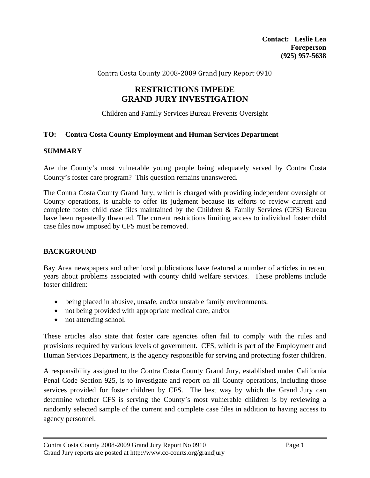Contra Costa County 2008‐2009 Grand Jury Report 0910

# **RESTRICTIONS IMPEDE GRAND JURY INVESTIGATION**

Children and Family Services Bureau Prevents Oversight

### **TO: Contra Costa County Employment and Human Services Department**

### **SUMMARY**

Are the County's most vulnerable young people being adequately served by Contra Costa County's foster care program? This question remains unanswered.

The Contra Costa County Grand Jury, which is charged with providing independent oversight of County operations, is unable to offer its judgment because its efforts to review current and complete foster child case files maintained by the Children & Family Services (CFS) Bureau have been repeatedly thwarted. The current restrictions limiting access to individual foster child case files now imposed by CFS must be removed.

### **BACKGROUND**

Bay Area newspapers and other local publications have featured a number of articles in recent years about problems associated with county child welfare services. These problems include foster children:

- being placed in abusive, unsafe, and/or unstable family environments,
- not being provided with appropriate medical care, and/or
- not attending school.

These articles also state that foster care agencies often fail to comply with the rules and provisions required by various levels of government. CFS, which is part of the Employment and Human Services Department, is the agency responsible for serving and protecting foster children.

A responsibility assigned to the Contra Costa County Grand Jury, established under California Penal Code Section 925, is to investigate and report on all County operations, including those services provided for foster children by CFS. The best way by which the Grand Jury can determine whether CFS is serving the County's most vulnerable children is by reviewing a randomly selected sample of the current and complete case files in addition to having access to agency personnel.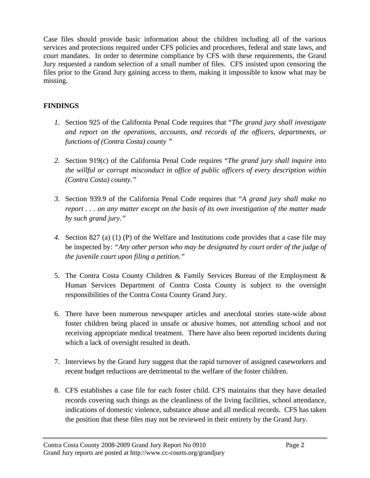Case files should provide basic information about the children including all of the various services and protections required under CFS policies and procedures, federal and state laws, and court mandates. In order to determine compliance by CFS with these requirements, the Grand Jury requested a random selection of a small number of files. CFS insisted upon censoring the files prior to the Grand Jury gaining access to them, making it impossible to know what may be missing.

# **FINDINGS**

- *1.* Section 925 of the California Penal Code requires that "*The grand jury shall investigate and report on the operations, accounts, and records of the officers, departments, or functions of (Contra Costa) county "*
- *2.* Section 919(c) of the California Penal Code requires "*The grand jury shall inquire into the willful or corrupt misconduct in office of public officers of every description within (Contra Costa) county."*
- *3.* Section 939.9 of the California Penal Code requires that "*A grand jury shall make no report . . . on any matter except on the basis of its own investigation of the matter made by such grand jury."*
- *4.* Section 827 (a) (1) (P) of the Welfare and Institutions code provides that a case file may be inspected by: *"Any other person who may be designated by court order of the judge of the juvenile court upon filing a petition."*
- 5. The Contra Costa County Children & Family Services Bureau of the Employment & Human Services Department of Contra Costa County is subject to the oversight responsibilities of the Contra Costa County Grand Jury.
- 6. There have been numerous newspaper articles and anecdotal stories state-wide about foster children being placed in unsafe or abusive homes, not attending school and not receiving appropriate medical treatment. There have also been reported incidents during which a lack of oversight resulted in death.
- 7. Interviews by the Grand Jury suggest that the rapid turnover of assigned caseworkers and recent budget reductions are detrimental to the welfare of the foster children.
- 8. CFS establishes a case file for each foster child. CFS maintains that they have detailed records covering such things as the cleanliness of the living facilities, school attendance, indications of domestic violence, substance abuse and all medical records. CFS has taken the position that these files may not be reviewed in their entirety by the Grand Jury.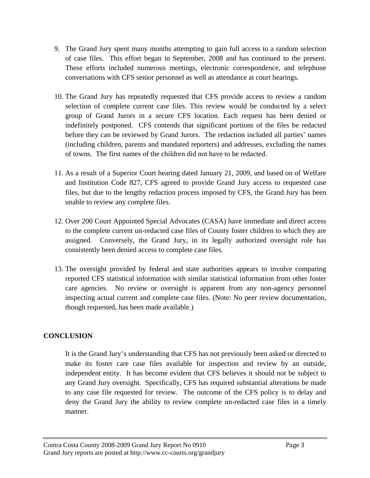- 9. The Grand Jury spent many months attempting to gain full access to a random selection of case files. This effort began in September, 2008 and has continued to the present. These efforts included numerous meetings, electronic correspondence, and telephone conversations with CFS senior personnel as well as attendance at court hearings.
- 10. The Grand Jury has repeatedly requested that CFS provide access to review a random selection of complete current case files. This review would be conducted by a select group of Grand Jurors in a secure CFS location. Each request has been denied or indefinitely postponed. CFS contends that significant portions of the files be redacted before they can be reviewed by Grand Jurors. The redaction included all parties' names (including children, parents and mandated reporters) and addresses, excluding the names of towns. The first names of the children did not have to be redacted.
- 11. As a result of a Superior Court hearing dated January 21, 2009, and based on of Welfare and Institution Code 827, CFS agreed to provide Grand Jury access to requested case files, but due to the lengthy redaction process imposed by CFS, the Grand Jury has been unable to review any complete files.
- 12. Over 200 Court Appointed Special Advocates (CASA) have immediate and direct access to the complete current un-redacted case files of County foster children to which they are assigned. Conversely, the Grand Jury, in its legally authorized oversight role has consistently been denied access to complete case files.
- 13. The oversight provided by federal and state authorities appears to involve comparing reported CFS statistical information with similar statistical information from other foster care agencies. No review or oversight is apparent from any non-agency personnel inspecting actual current and complete case files. (Note: No peer review documentation, though requested, has been made available.)

## **CONCLUSION**

It is the Grand Jury's understanding that CFS has not previously been asked or directed to make its foster care case files available for inspection and review by an outside, independent entity. It has become evident that CFS believes it should not be subject to any Grand Jury oversight. Specifically, CFS has required substantial alterations be made to any case file requested for review. The outcome of the CFS policy is to delay and deny the Grand Jury the ability to review complete un-redacted case files in a timely manner.